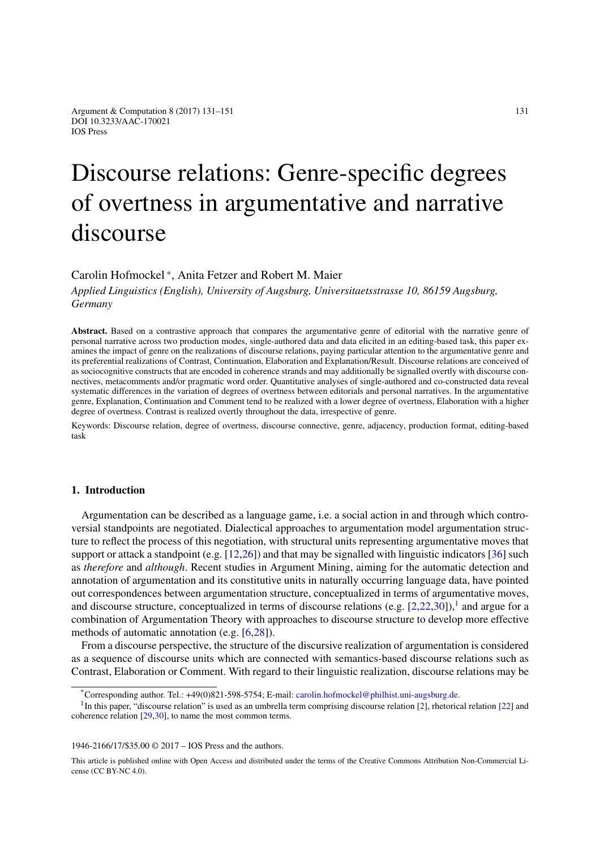# Discourse relations: Genre-specific degrees of overtness in argumentative and narrative discourse

Carolin Hofmockel [∗](#page-0-0), Anita Fetzer and Robert M. Maier

*Applied Linguistics (English), University of Augsburg, Universitaetsstrasse 10, 86159 Augsburg, Germany*

**Abstract.** Based on a contrastive approach that compares the argumentative genre of editorial with the narrative genre of personal narrative across two production modes, single-authored data and data elicited in an editing-based task, this paper examines the impact of genre on the realizations of discourse relations, paying particular attention to the argumentative genre and its preferential realizations of Contrast, Continuation, Elaboration and Explanation/Result. Discourse relations are conceived of as sociocognitive constructs that are encoded in coherence strands and may additionally be signalled overtly with discourse connectives, metacomments and/or pragmatic word order. Quantitative analyses of single-authored and co-constructed data reveal systematic differences in the variation of degrees of overtness between editorials and personal narratives. In the argumentative genre, Explanation, Continuation and Comment tend to be realized with a lower degree of overtness, Elaboration with a higher degree of overtness. Contrast is realized overtly throughout the data, irrespective of genre.

Keywords: Discourse relation, degree of overtness, discourse connective, genre, adjacency, production format, editing-based task

## **1. Introduction**

Argumentation can be described as a language game, i.e. a social action in and through which controversial standpoints are negotiated. Dialectical approaches to argumentation model argumentation structure to reflect the process of this negotiation, with structural units representing argumentative moves that support or attack a standpoint (e.g.  $[12,26]$  $[12,26]$  $[12,26]$ ) and that may be signalled with linguistic indicators  $[36]$  $[36]$  such as *therefore* and *although*. Recent studies in Argument Mining, aiming for the automatic detection and annotation of argumentation and its constitutive units in naturally occurring language data, have pointed out correspondences between argumentation structure, conceptualized in terms of argumentative moves, and discourse structure, conceptualized in terms of discourse relations (e.g.  $[2,22,30]$  $[2,22,30]$  $[2,22,30]$ ),<sup>1</sup> and argue for a combination of Argumentation Theory with approaches to discourse structure to develop more effective methods of automatic annotation (e.g. [\[6](#page-19-2)[,28\]](#page-20-4)).

From a discourse perspective, the structure of the discursive realization of argumentation is considered as a sequence of discourse units which are connected with semantics-based discourse relations such as Contrast, Elaboration or Comment. With regard to their linguistic realization, discourse relations may be

1946-2166/17/\$35.00 © 2017 – IOS Press and the authors.

<span id="page-0-1"></span><span id="page-0-0"></span><sup>\*</sup>Corresponding author. Tel.: +49(0)821-598-5754; E-mail: [carolin.hofmockel@philhist.uni-augsburg.de.](mailto:carolin.hofmockel@philhist.uni-augsburg.de)

<sup>&</sup>lt;sup>1</sup>In this paper, "discourse relation" is used as an umbrella term comprising discourse relation [\[2\]](#page-19-1), rhetorical relation [\[22](#page-20-2)] and coherence relation [\[29](#page-20-5)[,30](#page-20-3)], to name the most common terms.

This article is published online with Open Access and distributed under the terms of the Creative Commons Attribution Non-Commercial License (CC BY-NC 4.0).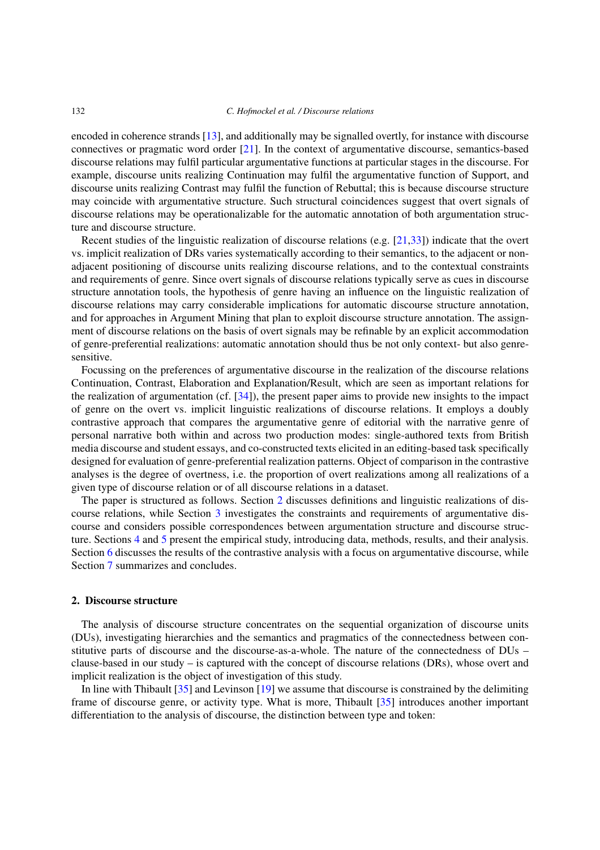encoded in coherence strands [\[13](#page-19-3)], and additionally may be signalled overtly, for instance with discourse connectives or pragmatic word order [\[21](#page-20-6)]. In the context of argumentative discourse, semantics-based discourse relations may fulfil particular argumentative functions at particular stages in the discourse. For example, discourse units realizing Continuation may fulfil the argumentative function of Support, and discourse units realizing Contrast may fulfil the function of Rebuttal; this is because discourse structure may coincide with argumentative structure. Such structural coincidences suggest that overt signals of discourse relations may be operationalizable for the automatic annotation of both argumentation structure and discourse structure.

Recent studies of the linguistic realization of discourse relations (e.g. [\[21](#page-20-6)[,33](#page-20-7)]) indicate that the overt vs. implicit realization of DRs varies systematically according to their semantics, to the adjacent or nonadjacent positioning of discourse units realizing discourse relations, and to the contextual constraints and requirements of genre. Since overt signals of discourse relations typically serve as cues in discourse structure annotation tools, the hypothesis of genre having an influence on the linguistic realization of discourse relations may carry considerable implications for automatic discourse structure annotation, and for approaches in Argument Mining that plan to exploit discourse structure annotation. The assignment of discourse relations on the basis of overt signals may be refinable by an explicit accommodation of genre-preferential realizations: automatic annotation should thus be not only context- but also genresensitive.

Focussing on the preferences of argumentative discourse in the realization of the discourse relations Continuation, Contrast, Elaboration and Explanation/Result, which are seen as important relations for the realization of argumentation (cf. [\[34\]](#page-20-8)), the present paper aims to provide new insights to the impact of genre on the overt vs. implicit linguistic realizations of discourse relations. It employs a doubly contrastive approach that compares the argumentative genre of editorial with the narrative genre of personal narrative both within and across two production modes: single-authored texts from British media discourse and student essays, and co-constructed texts elicited in an editing-based task specifically designed for evaluation of genre-preferential realization patterns. Object of comparison in the contrastive analyses is the degree of overtness, i.e. the proportion of overt realizations among all realizations of a given type of discourse relation or of all discourse relations in a dataset.

The paper is structured as follows. Section [2](#page-1-0) discusses definitions and linguistic realizations of discourse relations, while Section [3](#page-4-0) investigates the constraints and requirements of argumentative discourse and considers possible correspondences between argumentation structure and discourse structure. Sections [4](#page-6-0) and [5](#page-9-0) present the empirical study, introducing data, methods, results, and their analysis. Section [6](#page-12-0) discusses the results of the contrastive analysis with a focus on argumentative discourse, while Section [7](#page-17-0) summarizes and concludes.

### <span id="page-1-0"></span>**2. Discourse structure**

The analysis of discourse structure concentrates on the sequential organization of discourse units (DUs), investigating hierarchies and the semantics and pragmatics of the connectedness between constitutive parts of discourse and the discourse-as-a-whole. The nature of the connectedness of DUs – clause-based in our study – is captured with the concept of discourse relations (DRs), whose overt and implicit realization is the object of investigation of this study.

In line with Thibault [\[35](#page-20-9)] and Levinson [\[19](#page-20-10)] we assume that discourse is constrained by the delimiting frame of discourse genre, or activity type. What is more, Thibault [\[35](#page-20-9)] introduces another important differentiation to the analysis of discourse, the distinction between type and token: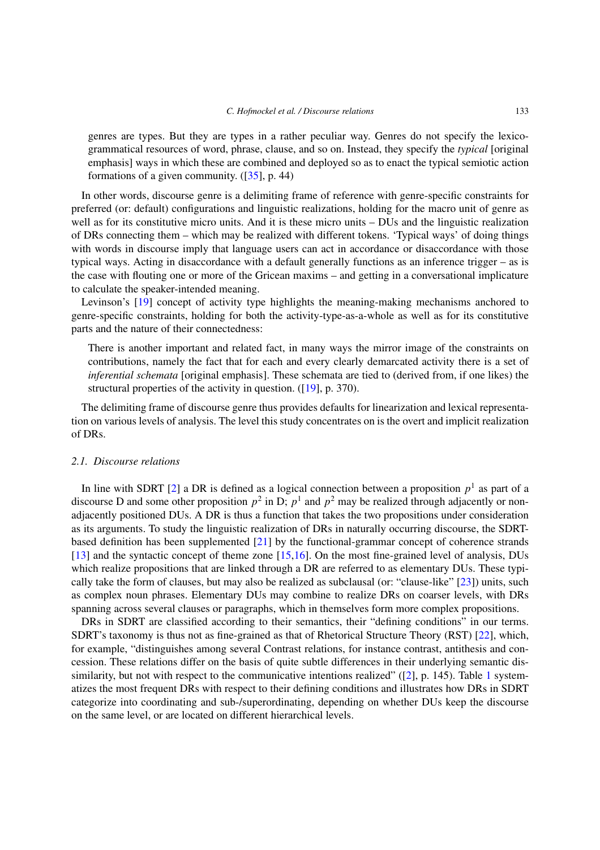genres are types. But they are types in a rather peculiar way. Genres do not specify the lexicogrammatical resources of word, phrase, clause, and so on. Instead, they specify the *typical* [original emphasis] ways in which these are combined and deployed so as to enact the typical semiotic action formations of a given community. ([\[35\]](#page-20-9), p. 44)

In other words, discourse genre is a delimiting frame of reference with genre-specific constraints for preferred (or: default) configurations and linguistic realizations, holding for the macro unit of genre as well as for its constitutive micro units. And it is these micro units – DUs and the linguistic realization of DRs connecting them – which may be realized with different tokens. 'Typical ways' of doing things with words in discourse imply that language users can act in accordance or disaccordance with those typical ways. Acting in disaccordance with a default generally functions as an inference trigger – as is the case with flouting one or more of the Gricean maxims – and getting in a conversational implicature to calculate the speaker-intended meaning.

Levinson's [\[19\]](#page-20-10) concept of activity type highlights the meaning-making mechanisms anchored to genre-specific constraints, holding for both the activity-type-as-a-whole as well as for its constitutive parts and the nature of their connectedness:

There is another important and related fact, in many ways the mirror image of the constraints on contributions, namely the fact that for each and every clearly demarcated activity there is a set of *inferential schemata* [original emphasis]. These schemata are tied to (derived from, if one likes) the structural properties of the activity in question. ([\[19](#page-20-10)], p. 370).

The delimiting frame of discourse genre thus provides defaults for linearization and lexical representation on various levels of analysis. The level this study concentrates on is the overt and implicit realization of DRs.

## <span id="page-2-0"></span>*2.1. Discourse relations*

In line with SDRT [\[2](#page-19-1)] a DR is defined as a logical connection between a proposition  $p<sup>1</sup>$  as part of a discourse D and some other proposition  $p^2$  in D;  $p^1$  and  $p^2$  may be realized through adjacently or nonadjacently positioned DUs. A DR is thus a function that takes the two propositions under consideration as its arguments. To study the linguistic realization of DRs in naturally occurring discourse, the SDRTbased definition has been supplemented [\[21\]](#page-20-6) by the functional-grammar concept of coherence strands [\[13](#page-19-3)] and the syntactic concept of theme zone [\[15](#page-19-4)[,16\]](#page-20-11). On the most fine-grained level of analysis, DUs which realize propositions that are linked through a DR are referred to as elementary DUs. These typically take the form of clauses, but may also be realized as subclausal (or: "clause-like" [\[23](#page-20-12)]) units, such as complex noun phrases. Elementary DUs may combine to realize DRs on coarser levels, with DRs spanning across several clauses or paragraphs, which in themselves form more complex propositions.

DRs in SDRT are classified according to their semantics, their "defining conditions" in our terms. SDRT's taxonomy is thus not as fine-grained as that of Rhetorical Structure Theory (RST) [\[22\]](#page-20-2), which, for example, "distinguishes among several Contrast relations, for instance contrast, antithesis and concession. These relations differ on the basis of quite subtle differences in their underlying semantic dissimilarity, but not with respect to the communicative intentions realized" ( $[2]$  $[2]$ , p. [1](#page-3-0)45). Table 1 systematizes the most frequent DRs with respect to their defining conditions and illustrates how DRs in SDRT categorize into coordinating and sub-/superordinating, depending on whether DUs keep the discourse on the same level, or are located on different hierarchical levels.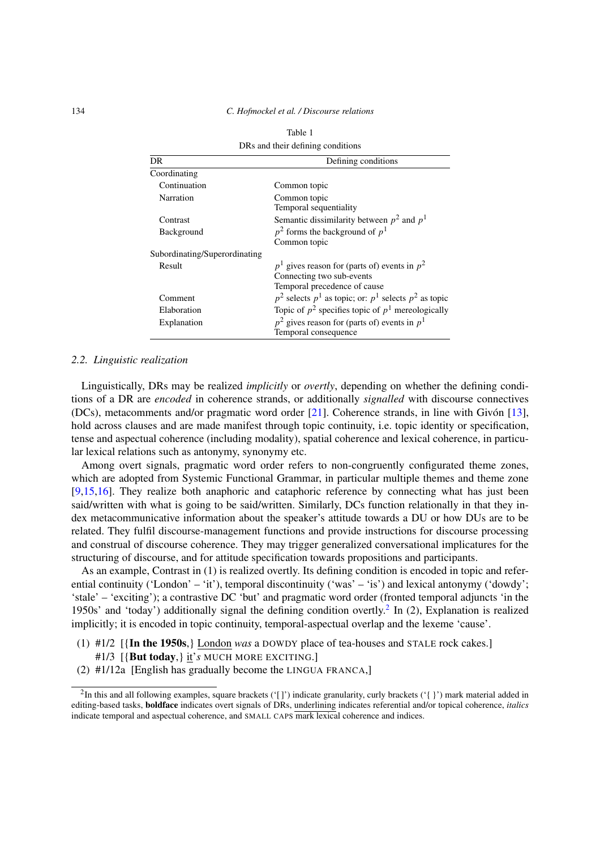#### 134 *C. Hofmockel et al. / Discourse relations*

| Drs and their demining conditions |                                                            |  |  |
|-----------------------------------|------------------------------------------------------------|--|--|
| DR<br>Defining conditions         |                                                            |  |  |
| Coordinating                      |                                                            |  |  |
| Continuation                      | Common topic                                               |  |  |
| Narration                         | Common topic                                               |  |  |
|                                   | Temporal sequentiality                                     |  |  |
| Contrast                          | Semantic dissimilarity between $p^2$ and $p^1$             |  |  |
| <b>Background</b>                 | $p2$ forms the background of $p1$                          |  |  |
|                                   | Common topic                                               |  |  |
| Subordinating/Superordinating     |                                                            |  |  |
| Result                            | $p1$ gives reason for (parts of) events in $p2$            |  |  |
|                                   | Connecting two sub-events                                  |  |  |
|                                   | Temporal precedence of cause                               |  |  |
| Comment                           | $p2$ selects $p1$ as topic; or: $p1$ selects $p2$ as topic |  |  |
| Elaboration                       | Topic of $p^2$ specifies topic of $p^1$ mereologically     |  |  |
| Explanation                       | $p2$ gives reason for (parts of) events in $p1$            |  |  |
|                                   | Temporal consequence                                       |  |  |

<span id="page-3-0"></span>Table 1 DRs and their defining conditions

#### *2.2. Linguistic realization*

Linguistically, DRs may be realized *implicitly* or *overtly*, depending on whether the defining conditions of a DR are *encoded* in coherence strands, or additionally *signalled* with discourse connectives (DCs), metacomments and/or pragmatic word order [\[21\]](#page-20-6). Coherence strands, in line with Givón [\[13](#page-19-3)], hold across clauses and are made manifest through topic continuity, i.e. topic identity or specification, tense and aspectual coherence (including modality), spatial coherence and lexical coherence, in particular lexical relations such as antonymy, synonymy etc.

Among overt signals, pragmatic word order refers to non-congruently configurated theme zones, which are adopted from Systemic Functional Grammar, in particular multiple themes and theme zone [\[9](#page-19-5)[,15](#page-19-4)[,16\]](#page-20-11). They realize both anaphoric and cataphoric reference by connecting what has just been said/written with what is going to be said/written. Similarly, DCs function relationally in that they index metacommunicative information about the speaker's attitude towards a DU or how DUs are to be related. They fulfil discourse-management functions and provide instructions for discourse processing and construal of discourse coherence. They may trigger generalized conversational implicatures for the structuring of discourse, and for attitude specification towards propositions and participants.

As an example, Contrast in (1) is realized overtly. Its defining condition is encoded in topic and referential continuity ('London' – 'it'), temporal discontinuity ('was' – 'is') and lexical antonymy ('dowdy'; 'stale' – 'exciting'); a contrastive DC 'but' and pragmatic word order (fronted temporal adjuncts 'in the 1950s' and 'today') additionally signal the defining condition overtly.<sup>[2](#page-3-1)</sup> In (2), Explanation is realized implicitly; it is encoded in topic continuity, temporal-aspectual overlap and the lexeme 'cause'.

- (1) #1/2 [{**In the 1950s**,} London *was* a DOWDY place of tea-houses and STALE rock cakes.] #1/3 [{**But today**,} it'*s* MUCH MORE EXCITING.]
- (2) #1/12a [English has gradually become the LINGUA FRANCA,]

<span id="page-3-1"></span><sup>&</sup>lt;sup>2</sup>In this and all following examples, square brackets ('[ ]') indicate granularity, curly brackets ('{ }') mark material added in editing-based tasks, **boldface** indicates overt signals of DRs, underlining indicates referential and/or topical coherence, *italics* indicate temporal and aspectual coherence, and SMALL CAPS mark lexical coherence and indices.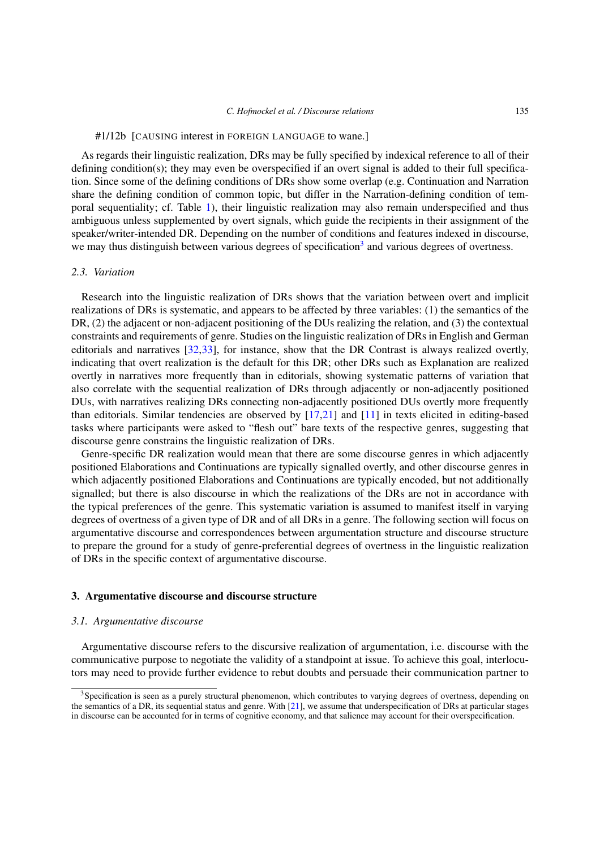#### #1/12b [CAUSING interest in FOREIGN LANGUAGE to wane.]

As regards their linguistic realization, DRs may be fully specified by indexical reference to all of their defining condition(s); they may even be overspecified if an overt signal is added to their full specification. Since some of the defining conditions of DRs show some overlap (e.g. Continuation and Narration share the defining condition of common topic, but differ in the Narration-defining condition of temporal sequentiality; cf. Table [1\)](#page-3-0), their linguistic realization may also remain underspecified and thus ambiguous unless supplemented by overt signals, which guide the recipients in their assignment of the speaker/writer-intended DR. Depending on the number of conditions and features indexed in discourse, we may thus distinguish between various degrees of specification<sup>3</sup> and various degrees of overtness.

#### *2.3. Variation*

Research into the linguistic realization of DRs shows that the variation between overt and implicit realizations of DRs is systematic, and appears to be affected by three variables: (1) the semantics of the DR, (2) the adjacent or non-adjacent positioning of the DUs realizing the relation, and (3) the contextual constraints and requirements of genre. Studies on the linguistic realization of DRs in English and German editorials and narratives [\[32](#page-20-13)[,33](#page-20-7)], for instance, show that the DR Contrast is always realized overtly, indicating that overt realization is the default for this DR; other DRs such as Explanation are realized overtly in narratives more frequently than in editorials, showing systematic patterns of variation that also correlate with the sequential realization of DRs through adjacently or non-adjacently positioned DUs, with narratives realizing DRs connecting non-adjacently positioned DUs overtly more frequently than editorials. Similar tendencies are observed by [\[17](#page-20-14)[,21\]](#page-20-6) and [\[11\]](#page-19-6) in texts elicited in editing-based tasks where participants were asked to "flesh out" bare texts of the respective genres, suggesting that discourse genre constrains the linguistic realization of DRs.

Genre-specific DR realization would mean that there are some discourse genres in which adjacently positioned Elaborations and Continuations are typically signalled overtly, and other discourse genres in which adjacently positioned Elaborations and Continuations are typically encoded, but not additionally signalled; but there is also discourse in which the realizations of the DRs are not in accordance with the typical preferences of the genre. This systematic variation is assumed to manifest itself in varying degrees of overtness of a given type of DR and of all DRs in a genre. The following section will focus on argumentative discourse and correspondences between argumentation structure and discourse structure to prepare the ground for a study of genre-preferential degrees of overtness in the linguistic realization of DRs in the specific context of argumentative discourse.

# <span id="page-4-0"></span>**3. Argumentative discourse and discourse structure**

#### *3.1. Argumentative discourse*

Argumentative discourse refers to the discursive realization of argumentation, i.e. discourse with the communicative purpose to negotiate the validity of a standpoint at issue. To achieve this goal, interlocutors may need to provide further evidence to rebut doubts and persuade their communication partner to

<span id="page-4-1"></span><sup>&</sup>lt;sup>3</sup>Specification is seen as a purely structural phenomenon, which contributes to varying degrees of overtness, depending on the semantics of a DR, its sequential status and genre. With  $[21]$  $[21]$ , we assume that underspecification of DRs at particular stages in discourse can be accounted for in terms of cognitive economy, and that salience may account for their overspecification.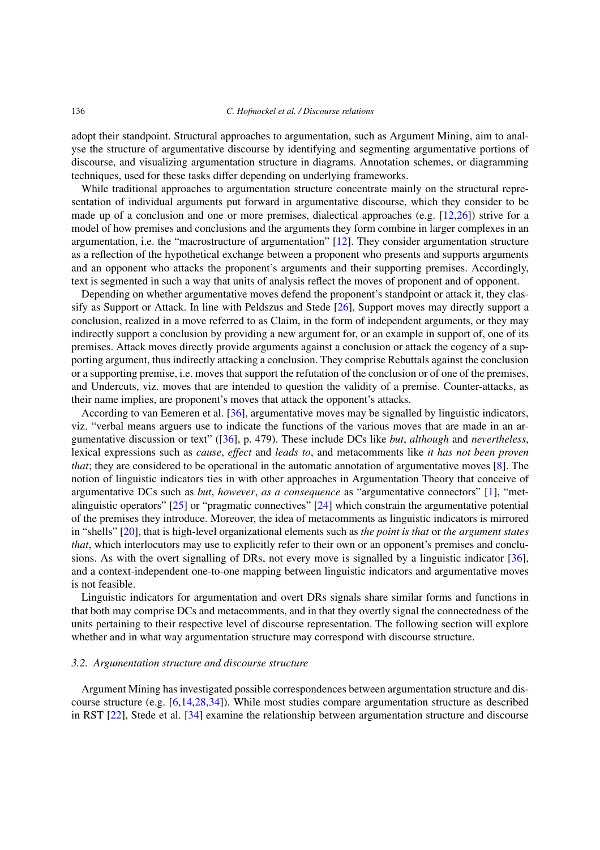adopt their standpoint. Structural approaches to argumentation, such as Argument Mining, aim to analyse the structure of argumentative discourse by identifying and segmenting argumentative portions of discourse, and visualizing argumentation structure in diagrams. Annotation schemes, or diagramming techniques, used for these tasks differ depending on underlying frameworks.

While traditional approaches to argumentation structure concentrate mainly on the structural representation of individual arguments put forward in argumentative discourse, which they consider to be made up of a conclusion and one or more premises, dialectical approaches (e.g. [\[12](#page-19-0)[,26](#page-20-0)]) strive for a model of how premises and conclusions and the arguments they form combine in larger complexes in an argumentation, i.e. the "macrostructure of argumentation" [\[12\]](#page-19-0). They consider argumentation structure as a reflection of the hypothetical exchange between a proponent who presents and supports arguments and an opponent who attacks the proponent's arguments and their supporting premises. Accordingly, text is segmented in such a way that units of analysis reflect the moves of proponent and of opponent.

Depending on whether argumentative moves defend the proponent's standpoint or attack it, they classify as Support or Attack. In line with Peldszus and Stede [\[26\]](#page-20-0), Support moves may directly support a conclusion, realized in a move referred to as Claim, in the form of independent arguments, or they may indirectly support a conclusion by providing a new argument for, or an example in support of, one of its premises. Attack moves directly provide arguments against a conclusion or attack the cogency of a supporting argument, thus indirectly attacking a conclusion. They comprise Rebuttals against the conclusion or a supporting premise, i.e. moves that support the refutation of the conclusion or of one of the premises, and Undercuts, viz. moves that are intended to question the validity of a premise. Counter-attacks, as their name implies, are proponent's moves that attack the opponent's attacks.

According to van Eemeren et al. [\[36\]](#page-20-1), argumentative moves may be signalled by linguistic indicators, viz. "verbal means arguers use to indicate the functions of the various moves that are made in an argumentative discussion or text" ([\[36\]](#page-20-1), p. 479). These include DCs like *but*, *although* and *nevertheless*, lexical expressions such as *cause*, *effect* and *leads to*, and metacomments like *it has not been proven that*; they are considered to be operational in the automatic annotation of argumentative moves [\[8](#page-19-7)]. The notion of linguistic indicators ties in with other approaches in Argumentation Theory that conceive of argumentative DCs such as *but*, *however*, *as a consequence* as "argumentative connectors" [\[1](#page-19-8)], "metalinguistic operators" [\[25](#page-20-15)] or "pragmatic connectives" [\[24\]](#page-20-16) which constrain the argumentative potential of the premises they introduce. Moreover, the idea of metacomments as linguistic indicators is mirrored in "shells" [\[20\]](#page-20-17), that is high-level organizational elements such as *the point is that* or *the argument states that*, which interlocutors may use to explicitly refer to their own or an opponent's premises and conclusions. As with the overt signalling of DRs, not every move is signalled by a linguistic indicator [\[36](#page-20-1)], and a context-independent one-to-one mapping between linguistic indicators and argumentative moves is not feasible.

Linguistic indicators for argumentation and overt DRs signals share similar forms and functions in that both may comprise DCs and metacomments, and in that they overtly signal the connectedness of the units pertaining to their respective level of discourse representation. The following section will explore whether and in what way argumentation structure may correspond with discourse structure.

## *3.2. Argumentation structure and discourse structure*

Argument Mining has investigated possible correspondences between argumentation structure and discourse structure (e.g. [\[6](#page-19-2)[,14](#page-19-9)[,28](#page-20-4)[,34](#page-20-8)]). While most studies compare argumentation structure as described in RST [\[22\]](#page-20-2), Stede et al. [\[34](#page-20-8)] examine the relationship between argumentation structure and discourse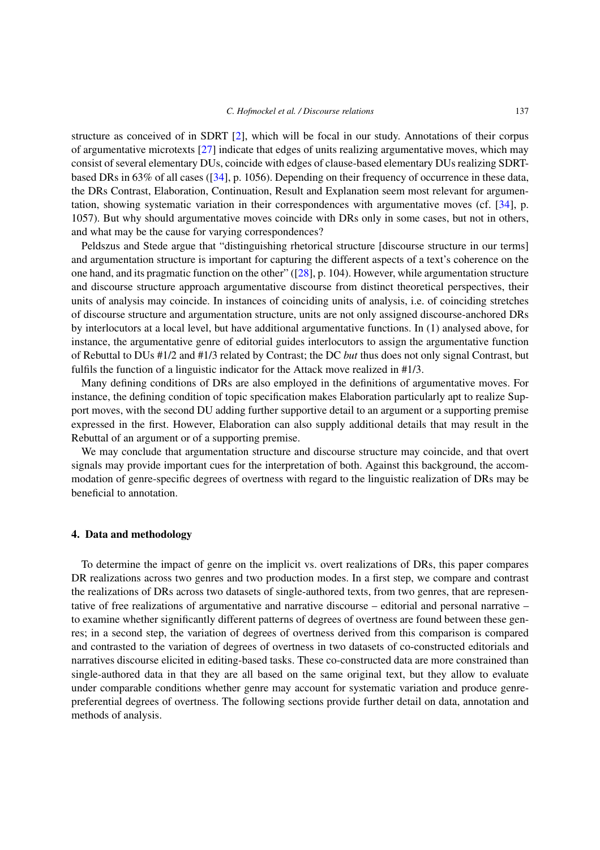structure as conceived of in SDRT [\[2](#page-19-1)], which will be focal in our study. Annotations of their corpus of argumentative microtexts [\[27\]](#page-20-18) indicate that edges of units realizing argumentative moves, which may consist of several elementary DUs, coincide with edges of clause-based elementary DUs realizing SDRTbased DRs in 63% of all cases ([\[34\]](#page-20-8), p. 1056). Depending on their frequency of occurrence in these data, the DRs Contrast, Elaboration, Continuation, Result and Explanation seem most relevant for argumentation, showing systematic variation in their correspondences with argumentative moves (cf. [\[34\]](#page-20-8), p. 1057). But why should argumentative moves coincide with DRs only in some cases, but not in others, and what may be the cause for varying correspondences?

Peldszus and Stede argue that "distinguishing rhetorical structure [discourse structure in our terms] and argumentation structure is important for capturing the different aspects of a text's coherence on the one hand, and its pragmatic function on the other" ([\[28\]](#page-20-4), p. 104). However, while argumentation structure and discourse structure approach argumentative discourse from distinct theoretical perspectives, their units of analysis may coincide. In instances of coinciding units of analysis, i.e. of coinciding stretches of discourse structure and argumentation structure, units are not only assigned discourse-anchored DRs by interlocutors at a local level, but have additional argumentative functions. In (1) analysed above, for instance, the argumentative genre of editorial guides interlocutors to assign the argumentative function of Rebuttal to DUs #1/2 and #1/3 related by Contrast; the DC *but* thus does not only signal Contrast, but fulfils the function of a linguistic indicator for the Attack move realized in #1/3.

Many defining conditions of DRs are also employed in the definitions of argumentative moves. For instance, the defining condition of topic specification makes Elaboration particularly apt to realize Support moves, with the second DU adding further supportive detail to an argument or a supporting premise expressed in the first. However, Elaboration can also supply additional details that may result in the Rebuttal of an argument or of a supporting premise.

We may conclude that argumentation structure and discourse structure may coincide, and that overt signals may provide important cues for the interpretation of both. Against this background, the accommodation of genre-specific degrees of overtness with regard to the linguistic realization of DRs may be beneficial to annotation.

## <span id="page-6-0"></span>**4. Data and methodology**

To determine the impact of genre on the implicit vs. overt realizations of DRs, this paper compares DR realizations across two genres and two production modes. In a first step, we compare and contrast the realizations of DRs across two datasets of single-authored texts, from two genres, that are representative of free realizations of argumentative and narrative discourse – editorial and personal narrative – to examine whether significantly different patterns of degrees of overtness are found between these genres; in a second step, the variation of degrees of overtness derived from this comparison is compared and contrasted to the variation of degrees of overtness in two datasets of co-constructed editorials and narratives discourse elicited in editing-based tasks. These co-constructed data are more constrained than single-authored data in that they are all based on the same original text, but they allow to evaluate under comparable conditions whether genre may account for systematic variation and produce genrepreferential degrees of overtness. The following sections provide further detail on data, annotation and methods of analysis.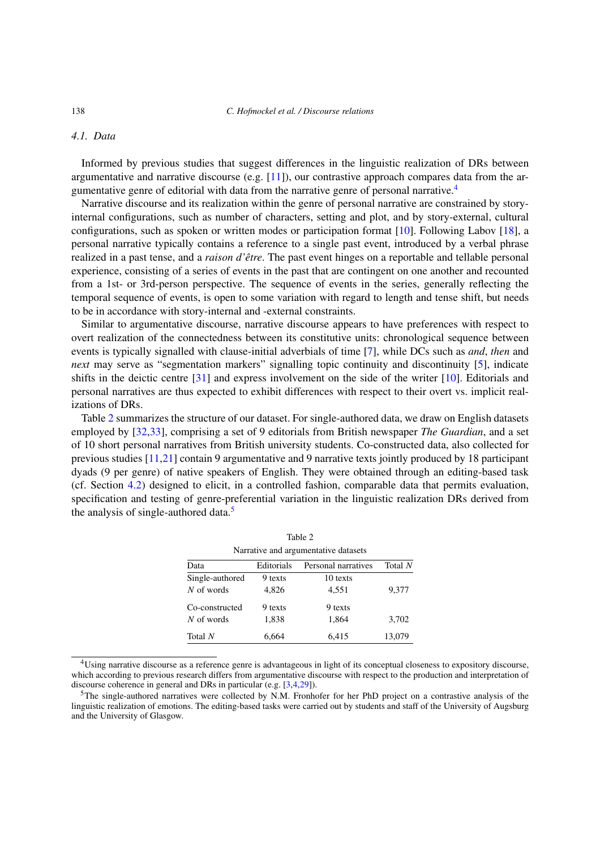# *4.1. Data*

Informed by previous studies that suggest differences in the linguistic realization of DRs between argumentative and narrative discourse (e.g.  $[11]$  $[11]$ ), our contrastive approach compares data from the argumentative genre of editorial with data from the narrative genre of personal narrative.[4](#page-7-0)

Narrative discourse and its realization within the genre of personal narrative are constrained by storyinternal configurations, such as number of characters, setting and plot, and by story-external, cultural configurations, such as spoken or written modes or participation format [\[10\]](#page-19-10). Following Labov [\[18\]](#page-20-19), a personal narrative typically contains a reference to a single past event, introduced by a verbal phrase realized in a past tense, and a *raison d'être*. The past event hinges on a reportable and tellable personal experience, consisting of a series of events in the past that are contingent on one another and recounted from a 1st- or 3rd-person perspective. The sequence of events in the series, generally reflecting the temporal sequence of events, is open to some variation with regard to length and tense shift, but needs to be in accordance with story-internal and -external constraints.

Similar to argumentative discourse, narrative discourse appears to have preferences with respect to overt realization of the connectedness between its constitutive units: chronological sequence between events is typically signalled with clause-initial adverbials of time [\[7\]](#page-19-11), while DCs such as *and*, *then* and *next* may serve as "segmentation markers" signalling topic continuity and discontinuity [\[5](#page-19-12)], indicate shifts in the deictic centre [\[31](#page-20-20)] and express involvement on the side of the writer [\[10](#page-19-10)]. Editorials and personal narratives are thus expected to exhibit differences with respect to their overt vs. implicit realizations of DRs.

Table [2](#page-7-1) summarizes the structure of our dataset. For single-authored data, we draw on English datasets employed by [\[32](#page-20-13)[,33\]](#page-20-7), comprising a set of 9 editorials from British newspaper *The Guardian*, and a set of 10 short personal narratives from British university students. Co-constructed data, also collected for previous studies [\[11](#page-19-6)[,21](#page-20-6)] contain 9 argumentative and 9 narrative texts jointly produced by 18 participant dyads (9 per genre) of native speakers of English. They were obtained through an editing-based task (cf. Section [4.2\)](#page-8-0) designed to elicit, in a controlled fashion, comparable data that permits evaluation, specification and testing of genre-preferential variation in the linguistic realization DRs derived from the analysis of single-authored data.<sup>5</sup>

<span id="page-7-1"></span>

| Table 2         |            |                                      |         |  |
|-----------------|------------|--------------------------------------|---------|--|
|                 |            | Narrative and argumentative datasets |         |  |
| Data            | Editorials | Personal narratives                  | Total N |  |
| Single-authored | 9 texts    | 10 texts                             |         |  |
| N of words      | 4,826      | 4,551                                | 9,377   |  |
| Co-constructed  | 9 texts    | 9 texts                              |         |  |
| N of words      | 1,838      | 1,864                                | 3,702   |  |
| Total N         | 6.664      | 6,415                                | 13,079  |  |

<span id="page-7-0"></span><sup>4</sup>Using narrative discourse as a reference genre is advantageous in light of its conceptual closeness to expository discourse, which according to previous research differs from argumentative discourse with respect to the production and interpretation of discourse coherence in general and DRs in particular (e.g. [\[3](#page-19-13)[,4](#page-19-14)[,29](#page-20-5)]).

<span id="page-7-2"></span> $5$ The single-authored narratives were collected by N.M. Fronhofer for her PhD project on a contrastive analysis of the linguistic realization of emotions. The editing-based tasks were carried out by students and staff of the University of Augsburg and the University of Glasgow.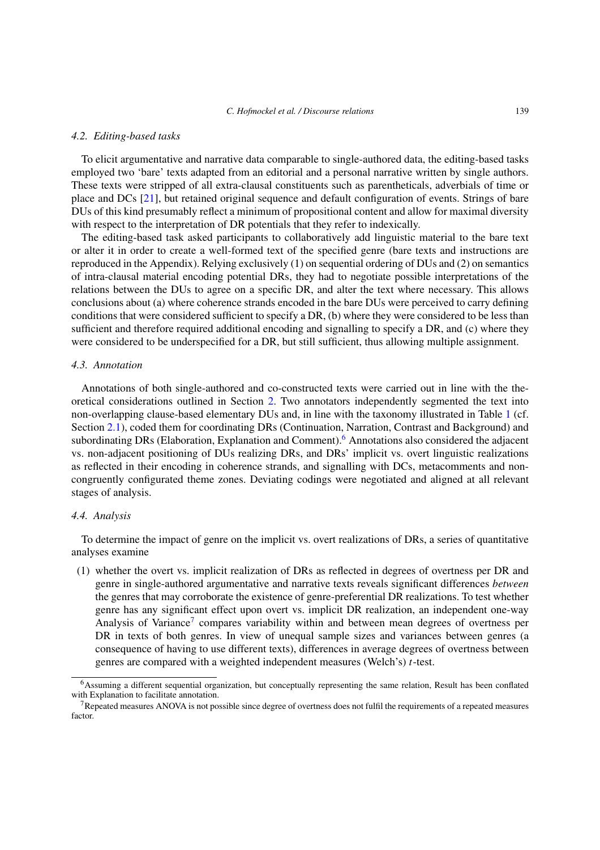#### <span id="page-8-0"></span>*4.2. Editing-based tasks*

To elicit argumentative and narrative data comparable to single-authored data, the editing-based tasks employed two 'bare' texts adapted from an editorial and a personal narrative written by single authors. These texts were stripped of all extra-clausal constituents such as parentheticals, adverbials of time or place and DCs [\[21](#page-20-6)], but retained original sequence and default configuration of events. Strings of bare DUs of this kind presumably reflect a minimum of propositional content and allow for maximal diversity with respect to the interpretation of DR potentials that they refer to indexically.

The editing-based task asked participants to collaboratively add linguistic material to the bare text or alter it in order to create a well-formed text of the specified genre (bare texts and instructions are reproduced in the Appendix). Relying exclusively (1) on sequential ordering of DUs and (2) on semantics of intra-clausal material encoding potential DRs, they had to negotiate possible interpretations of the relations between the DUs to agree on a specific DR, and alter the text where necessary. This allows conclusions about (a) where coherence strands encoded in the bare DUs were perceived to carry defining conditions that were considered sufficient to specify a DR, (b) where they were considered to be less than sufficient and therefore required additional encoding and signalling to specify a DR, and (c) where they were considered to be underspecified for a DR, but still sufficient, thus allowing multiple assignment.

#### *4.3. Annotation*

Annotations of both single-authored and co-constructed texts were carried out in line with the theoretical considerations outlined in Section [2.](#page-1-0) Two annotators independently segmented the text into non-overlapping clause-based elementary DUs and, in line with the taxonomy illustrated in Table [1](#page-3-0) (cf. Section [2.1\)](#page-2-0), coded them for coordinating DRs (Continuation, Narration, Contrast and Background) and subordinating DRs (Elaboration, Explanation and Comment).<sup>[6](#page-8-1)</sup> Annotations also considered the adjacent vs. non-adjacent positioning of DUs realizing DRs, and DRs' implicit vs. overt linguistic realizations as reflected in their encoding in coherence strands, and signalling with DCs, metacomments and noncongruently configurated theme zones. Deviating codings were negotiated and aligned at all relevant stages of analysis.

## *4.4. Analysis*

To determine the impact of genre on the implicit vs. overt realizations of DRs, a series of quantitative analyses examine

(1) whether the overt vs. implicit realization of DRs as reflected in degrees of overtness per DR and genre in single-authored argumentative and narrative texts reveals significant differences *between* the genres that may corroborate the existence of genre-preferential DR realizations. To test whether genre has any significant effect upon overt vs. implicit DR realization, an independent one-way Analysis of Variance<sup>[7](#page-8-2)</sup> compares variability within and between mean degrees of overtness per DR in texts of both genres. In view of unequal sample sizes and variances between genres (a consequence of having to use different texts), differences in average degrees of overtness between genres are compared with a weighted independent measures (Welch's) *t*-test.

<span id="page-8-1"></span><sup>&</sup>lt;sup>6</sup>Assuming a different sequential organization, but conceptually representing the same relation, Result has been conflated with Explanation to facilitate annotation.

<span id="page-8-2"></span><sup>&</sup>lt;sup>7</sup>Repeated measures ANOVA is not possible since degree of overtness does not fulfil the requirements of a repeated measures factor.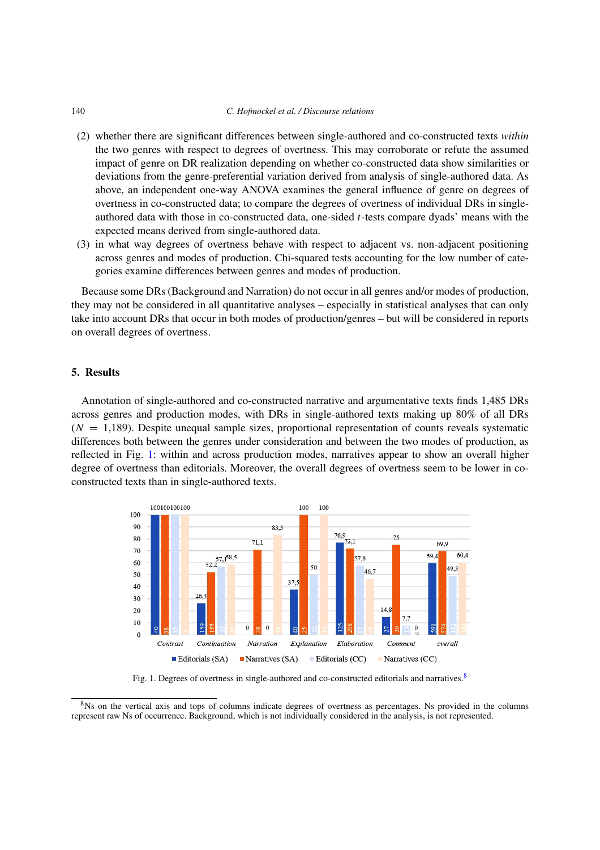#### 140 *C. Hofmockel et al. / Discourse relations*

- (2) whether there are significant differences between single-authored and co-constructed texts *within* the two genres with respect to degrees of overtness. This may corroborate or refute the assumed impact of genre on DR realization depending on whether co-constructed data show similarities or deviations from the genre-preferential variation derived from analysis of single-authored data. As above, an independent one-way ANOVA examines the general influence of genre on degrees of overtness in co-constructed data; to compare the degrees of overtness of individual DRs in singleauthored data with those in co-constructed data, one-sided *t*-tests compare dyads' means with the expected means derived from single-authored data.
- (3) in what way degrees of overtness behave with respect to adjacent vs. non-adjacent positioning across genres and modes of production. Chi-squared tests accounting for the low number of categories examine differences between genres and modes of production.

Because some DRs (Background and Narration) do not occur in all genres and/or modes of production, they may not be considered in all quantitative analyses – especially in statistical analyses that can only take into account DRs that occur in both modes of production/genres – but will be considered in reports on overall degrees of overtness.

# <span id="page-9-0"></span>**5. Results**

Annotation of single-authored and co-constructed narrative and argumentative texts finds 1,485 DRs across genres and production modes, with DRs in single-authored texts making up 80% of all DRs  $(N = 1.189)$ . Despite unequal sample sizes, proportional representation of counts reveals systematic differences both between the genres under consideration and between the two modes of production, as reflected in Fig. [1:](#page-9-1) within and across production modes, narratives appear to show an overall higher degree of overtness than editorials. Moreover, the overall degrees of overtness seem to be lower in coconstructed texts than in single-authored texts.



<span id="page-9-1"></span>Fig. 1. Degrees of overtness in single-authored and co-constructed editorials and narratives.<sup>8</sup>

<span id="page-9-2"></span><sup>8</sup>Ns on the vertical axis and tops of columns indicate degrees of overtness as percentages. Ns provided in the columns represent raw Ns of occurrence. Background, which is not individually considered in the analysis, is not represented.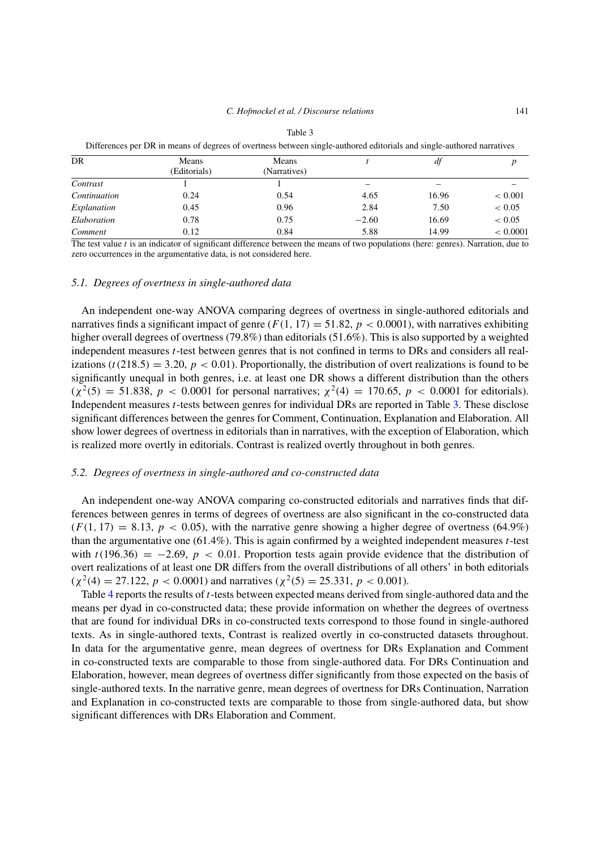<span id="page-10-0"></span>

| DR           | Means<br>(Editorials) | Means<br>(Narratives) |         | df    |          |
|--------------|-----------------------|-----------------------|---------|-------|----------|
| Contrast     |                       |                       | -       |       |          |
| Continuation | 0.24                  | 0.54                  | 4.65    | 16.96 | < 0.001  |
| Explanation  | 0.45                  | 0.96                  | 2.84    | 7.50  | < 0.05   |
| Elaboration  | 0.78                  | 0.75                  | $-2.60$ | 16.69 | < 0.05   |
| Comment      | 0.12                  | 0.84                  | 5.88    | 14.99 | < 0.0001 |

Table 3 Differences per DR in means of degrees of overtness between single-authored editorials and single-authored narratives

The test value *t* is an indicator of significant difference between the means of two populations (here: genres). Narration, due to zero occurrences in the argumentative data, is not considered here.

#### *5.1. Degrees of overtness in single-authored data*

An independent one-way ANOVA comparing degrees of overtness in single-authored editorials and narratives finds a significant impact of genre  $(F(1, 17) = 51.82, p < 0.0001)$ , with narratives exhibiting higher overall degrees of overtness (79.8%) than editorials (51.6%). This is also supported by a weighted independent measures *t*-test between genres that is not confined in terms to DRs and considers all realizations  $(t(218.5) = 3.20, p < 0.01)$ . Proportionally, the distribution of overt realizations is found to be significantly unequal in both genres, i.e. at least one DR shows a different distribution than the others  $(\chi^2(5) = 51.838, p < 0.0001$  for personal narratives;  $\chi^2(4) = 170.65, p < 0.0001$  for editorials). Independent measures *t*-tests between genres for individual DRs are reported in Table [3.](#page-10-0) These disclose significant differences between the genres for Comment, Continuation, Explanation and Elaboration. All show lower degrees of overtness in editorials than in narratives, with the exception of Elaboration, which is realized more overtly in editorials. Contrast is realized overtly throughout in both genres.

### *5.2. Degrees of overtness in single-authored and co-constructed data*

An independent one-way ANOVA comparing co-constructed editorials and narratives finds that differences between genres in terms of degrees of overtness are also significant in the co-constructed data  $(F(1, 17) = 8.13, p < 0.05)$ , with the narrative genre showing a higher degree of overtness (64.9%) than the argumentative one (61.4%). This is again confirmed by a weighted independent measures *t*-test with  $t(196.36) = -2.69$ ,  $p < 0.01$ . Proportion tests again provide evidence that the distribution of overt realizations of at least one DR differs from the overall distributions of all others' in both editorials  $(\chi^2(4) = 27.122, p < 0.0001)$  and narratives  $(\chi^2(5) = 25.331, p < 0.001)$ .

Table [4](#page-11-0) reports the results of *t*-tests between expected means derived from single-authored data and the means per dyad in co-constructed data; these provide information on whether the degrees of overtness that are found for individual DRs in co-constructed texts correspond to those found in single-authored texts. As in single-authored texts, Contrast is realized overtly in co-constructed datasets throughout. In data for the argumentative genre, mean degrees of overtness for DRs Explanation and Comment in co-constructed texts are comparable to those from single-authored data. For DRs Continuation and Elaboration, however, mean degrees of overtness differ significantly from those expected on the basis of single-authored texts. In the narrative genre, mean degrees of overtness for DRs Continuation, Narration and Explanation in co-constructed texts are comparable to those from single-authored data, but show significant differences with DRs Elaboration and Comment.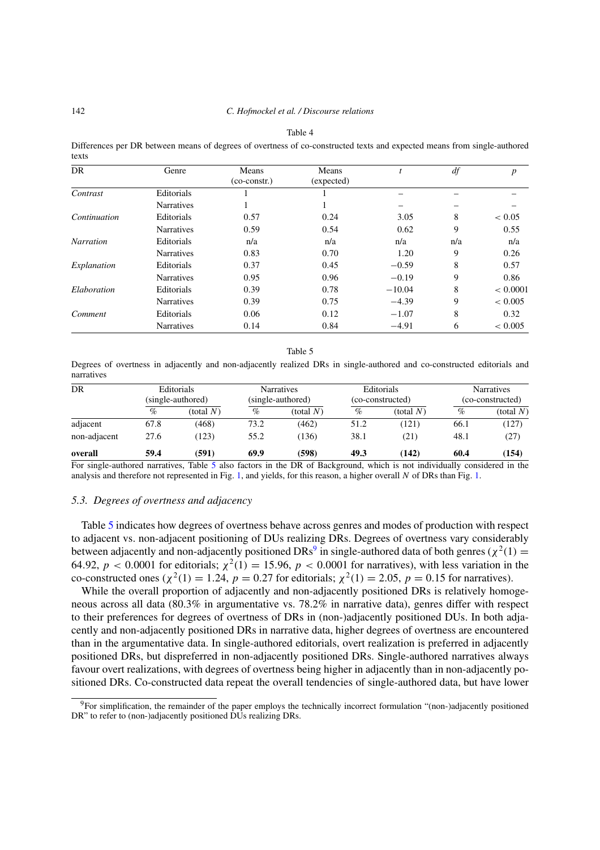|  | × |  |
|--|---|--|
|--|---|--|

<span id="page-11-0"></span>Differences per DR between means of degrees of overtness of co-constructed texts and expected means from single-authored texts

| <b>DR</b>        | Genre             | Means<br>$(co-constr.)$ | Means<br>(expected) |          | df  | p        |
|------------------|-------------------|-------------------------|---------------------|----------|-----|----------|
| Contrast         | Editorials        |                         |                     |          |     |          |
|                  | <b>Narratives</b> |                         |                     |          |     |          |
| Continuation     | Editorials        | 0.57                    | 0.24                | 3.05     | 8   | < 0.05   |
|                  | <b>Narratives</b> | 0.59                    | 0.54                | 0.62     | 9   | 0.55     |
| <b>Narration</b> | Editorials        | n/a                     | n/a                 | n/a      | n/a | n/a      |
|                  | <b>Narratives</b> | 0.83                    | 0.70                | 1.20     | 9   | 0.26     |
| Explanation      | Editorials        | 0.37                    | 0.45                | $-0.59$  | 8   | 0.57     |
|                  | <b>Narratives</b> | 0.95                    | 0.96                | $-0.19$  | 9   | 0.86     |
| Elaboration      | Editorials        | 0.39                    | 0.78                | $-10.04$ | 8   | < 0.0001 |
|                  | <b>Narratives</b> | 0.39                    | 0.75                | $-4.39$  | 9   | < 0.005  |
| Comment          | Editorials        | 0.06                    | 0.12                | $-1.07$  | 8   | 0.32     |
|                  | <b>Narratives</b> | 0.14                    | 0.84                | $-4.91$  | 6   | < 0.005  |

Table 5

<span id="page-11-1"></span>Degrees of overtness in adjacently and non-adjacently realized DRs in single-authored and co-constructed editorials and narratives

| DR           | Editorials<br><b>Narratives</b><br>(single-authored)<br>(single-authored) |              | Editorials<br>(co-constructed) |           | <b>Narratives</b><br>(co-constructed) |           |      |                |
|--------------|---------------------------------------------------------------------------|--------------|--------------------------------|-----------|---------------------------------------|-----------|------|----------------|
|              | $\%$                                                                      | (total $N$ ) | %                              | (total N) | $\%$                                  | (total N) | $\%$ | $($ total $N)$ |
| adjacent     | 67.8                                                                      | (468)        | 73.2                           | (462)     | 51.2                                  | (121)     | 66.1 | (127)          |
| non-adjacent | 27.6                                                                      | (123)        | 55.2                           | (136)     | 38.1                                  | (21)      | 48.1 | (27)           |
| overall      | 59.4                                                                      | (591)        | 69.9                           | (598)     | 49.3                                  | (142)     | 60.4 | (154)          |

For single-authored narratives, Table [5](#page-11-1) also factors in the DR of Background, which is not individually considered in the analysis and therefore not represented in Fig. [1,](#page-9-1) and yields, for this reason, a higher overall *N* of DRs than Fig. [1.](#page-9-1)

#### *5.3. Degrees of overtness and adjacency*

Table [5](#page-11-1) indicates how degrees of overtness behave across genres and modes of production with respect to adjacent vs. non-adjacent positioning of DUs realizing DRs. Degrees of overtness vary considerably between adjacently and non-adjacently positioned DRs<sup>9</sup> in single-authored data of both genres ( $\chi^2(1)$  = 64.92,  $p < 0.0001$  for editorials;  $\chi^2(1) = 15.96$ ,  $p < 0.0001$  for narratives), with less variation in the co-constructed ones ( $\chi^2(1) = 1.24$ ,  $p = 0.27$  for editorials;  $\chi^2(1) = 2.05$ ,  $p = 0.15$  for narratives).

While the overall proportion of adjacently and non-adjacently positioned DRs is relatively homogeneous across all data (80.3% in argumentative vs. 78.2% in narrative data), genres differ with respect to their preferences for degrees of overtness of DRs in (non-)adjacently positioned DUs. In both adjacently and non-adjacently positioned DRs in narrative data, higher degrees of overtness are encountered than in the argumentative data. In single-authored editorials, overt realization is preferred in adjacently positioned DRs, but dispreferred in non-adjacently positioned DRs. Single-authored narratives always favour overt realizations, with degrees of overtness being higher in adjacently than in non-adjacently positioned DRs. Co-constructed data repeat the overall tendencies of single-authored data, but have lower

<span id="page-11-2"></span> $9$ For simplification, the remainder of the paper employs the technically incorrect formulation "(non-)adjacently positioned DR" to refer to (non-)adjacently positioned DUs realizing DRs.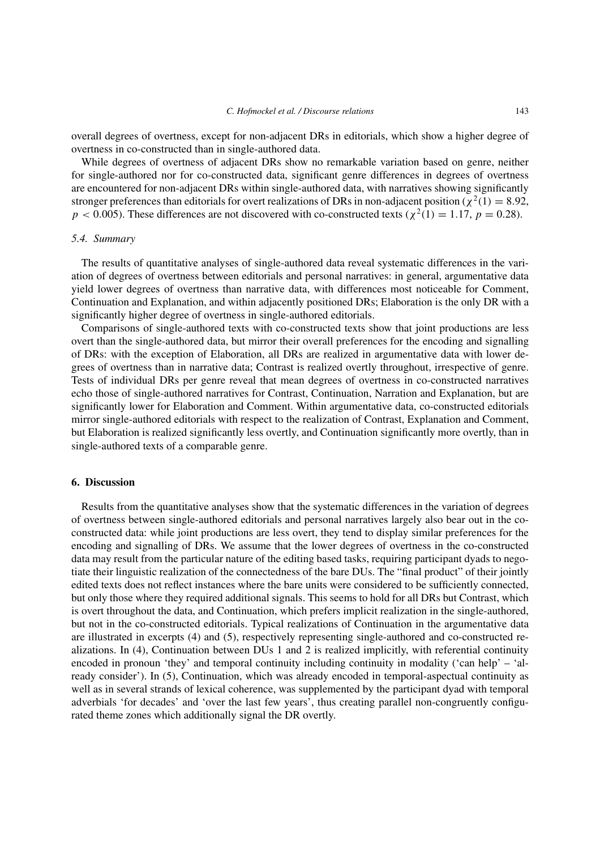overall degrees of overtness, except for non-adjacent DRs in editorials, which show a higher degree of overtness in co-constructed than in single-authored data.

While degrees of overtness of adjacent DRs show no remarkable variation based on genre, neither for single-authored nor for co-constructed data, significant genre differences in degrees of overtness are encountered for non-adjacent DRs within single-authored data, with narratives showing significantly stronger preferences than editorials for overt realizations of DRs in non-adjacent position ( $\chi^2(1) = 8.92$ ,  $p < 0.005$ ). These differences are not discovered with co-constructed texts ( $\chi^2(1) = 1.17$ ,  $p = 0.28$ ).

#### *5.4. Summary*

The results of quantitative analyses of single-authored data reveal systematic differences in the variation of degrees of overtness between editorials and personal narratives: in general, argumentative data yield lower degrees of overtness than narrative data, with differences most noticeable for Comment, Continuation and Explanation, and within adjacently positioned DRs; Elaboration is the only DR with a significantly higher degree of overtness in single-authored editorials.

Comparisons of single-authored texts with co-constructed texts show that joint productions are less overt than the single-authored data, but mirror their overall preferences for the encoding and signalling of DRs: with the exception of Elaboration, all DRs are realized in argumentative data with lower degrees of overtness than in narrative data; Contrast is realized overtly throughout, irrespective of genre. Tests of individual DRs per genre reveal that mean degrees of overtness in co-constructed narratives echo those of single-authored narratives for Contrast, Continuation, Narration and Explanation, but are significantly lower for Elaboration and Comment. Within argumentative data, co-constructed editorials mirror single-authored editorials with respect to the realization of Contrast, Explanation and Comment, but Elaboration is realized significantly less overtly, and Continuation significantly more overtly, than in single-authored texts of a comparable genre.

# <span id="page-12-0"></span>**6. Discussion**

Results from the quantitative analyses show that the systematic differences in the variation of degrees of overtness between single-authored editorials and personal narratives largely also bear out in the coconstructed data: while joint productions are less overt, they tend to display similar preferences for the encoding and signalling of DRs. We assume that the lower degrees of overtness in the co-constructed data may result from the particular nature of the editing based tasks, requiring participant dyads to negotiate their linguistic realization of the connectedness of the bare DUs. The "final product" of their jointly edited texts does not reflect instances where the bare units were considered to be sufficiently connected, but only those where they required additional signals. This seems to hold for all DRs but Contrast, which is overt throughout the data, and Continuation, which prefers implicit realization in the single-authored, but not in the co-constructed editorials. Typical realizations of Continuation in the argumentative data are illustrated in excerpts (4) and (5), respectively representing single-authored and co-constructed realizations. In (4), Continuation between DUs 1 and 2 is realized implicitly, with referential continuity encoded in pronoun 'they' and temporal continuity including continuity in modality ('can help' – 'already consider'). In (5), Continuation, which was already encoded in temporal-aspectual continuity as well as in several strands of lexical coherence, was supplemented by the participant dyad with temporal adverbials 'for decades' and 'over the last few years', thus creating parallel non-congruently configurated theme zones which additionally signal the DR overtly.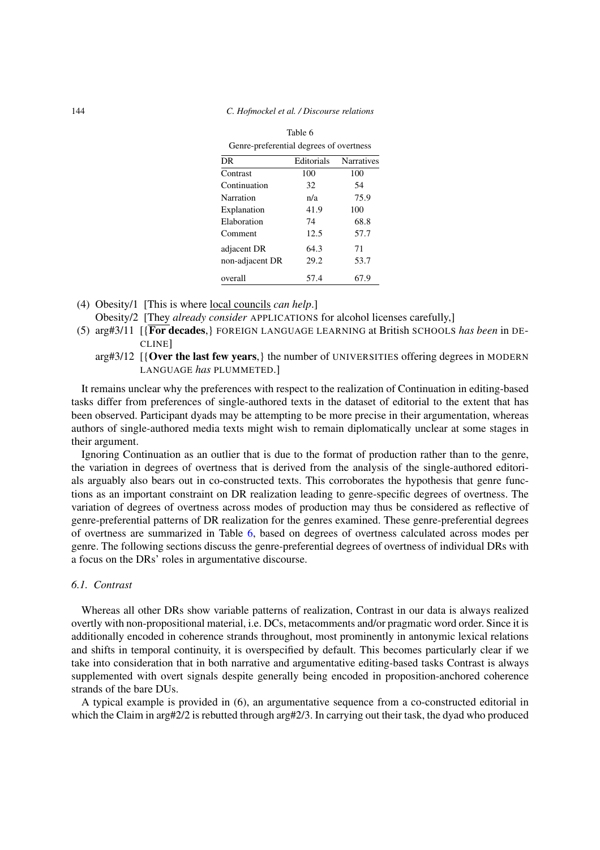<span id="page-13-0"></span>

| DR              | Editorials | <b>Narratives</b> |
|-----------------|------------|-------------------|
| Contrast        | 100        | 100               |
| Continuation    | 32         | 54                |
| Narration       | n/a        | 75.9              |
| Explanation     | 41.9       | 100               |
| Elaboration     | 74         | 68.8              |
| Comment         | 12.5       | 57.7              |
| adjacent DR     | 64.3       | 71                |
| non-adjacent DR | 29.2       | 53.7              |
| overall         | 57.4       | 67.9              |

- (4) Obesity/1 [This is where local councils *can help*.]
	- Obesity/2 [They *already consider* APPLICATIONS for alcohol licenses carefully,]
- (5) arg#3/11 [{**For decades**,} FOREIGN LANGUAGE LEARNING at British SCHOOLS *has been* in DE-CLINE]
	- arg#3/12 [{**Over the last few years**,} the number of UNIVERSITIES offering degrees in MODERN LANGUAGE *has* PLUMMETED.]

It remains unclear why the preferences with respect to the realization of Continuation in editing-based tasks differ from preferences of single-authored texts in the dataset of editorial to the extent that has been observed. Participant dyads may be attempting to be more precise in their argumentation, whereas authors of single-authored media texts might wish to remain diplomatically unclear at some stages in their argument.

Ignoring Continuation as an outlier that is due to the format of production rather than to the genre, the variation in degrees of overtness that is derived from the analysis of the single-authored editorials arguably also bears out in co-constructed texts. This corroborates the hypothesis that genre functions as an important constraint on DR realization leading to genre-specific degrees of overtness. The variation of degrees of overtness across modes of production may thus be considered as reflective of genre-preferential patterns of DR realization for the genres examined. These genre-preferential degrees of overtness are summarized in Table [6,](#page-13-0) based on degrees of overtness calculated across modes per genre. The following sections discuss the genre-preferential degrees of overtness of individual DRs with a focus on the DRs' roles in argumentative discourse.

## *6.1. Contrast*

Whereas all other DRs show variable patterns of realization, Contrast in our data is always realized overtly with non-propositional material, i.e. DCs, metacomments and/or pragmatic word order. Since it is additionally encoded in coherence strands throughout, most prominently in antonymic lexical relations and shifts in temporal continuity, it is overspecified by default. This becomes particularly clear if we take into consideration that in both narrative and argumentative editing-based tasks Contrast is always supplemented with overt signals despite generally being encoded in proposition-anchored coherence strands of the bare DUs.

A typical example is provided in (6), an argumentative sequence from a co-constructed editorial in which the Claim in arg#2/2 is rebutted through arg#2/3. In carrying out their task, the dyad who produced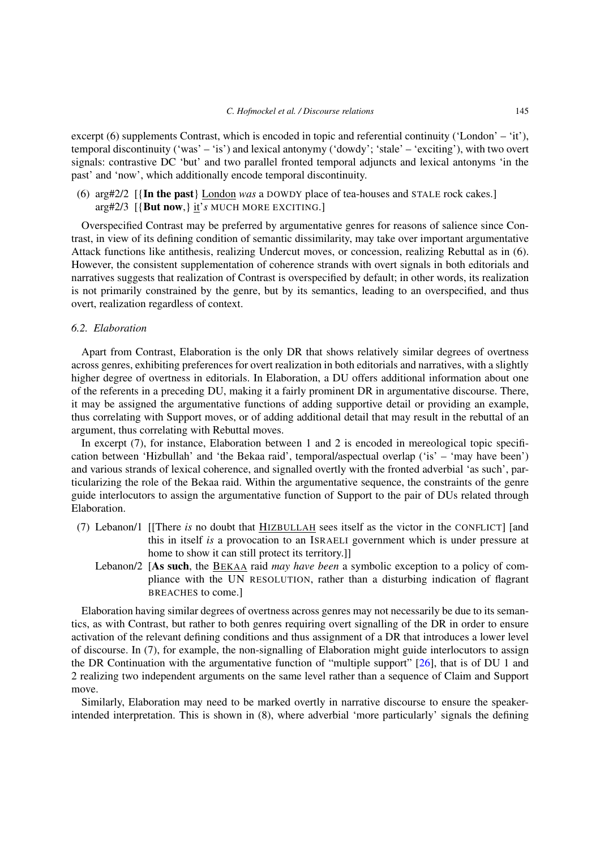excerpt  $(6)$  supplements Contrast, which is encoded in topic and referential continuity ('London' – 'it'), temporal discontinuity ('was' – 'is') and lexical antonymy ('dowdy'; 'stale' – 'exciting'), with two overt signals: contrastive DC 'but' and two parallel fronted temporal adjuncts and lexical antonyms 'in the past' and 'now', which additionally encode temporal discontinuity.

(6) arg#2/2 [{**In the past**} London *was* a DOWDY place of tea-houses and STALE rock cakes.] arg#2/3 [{**But now**,} it'*s* MUCH MORE EXCITING.]

Overspecified Contrast may be preferred by argumentative genres for reasons of salience since Contrast, in view of its defining condition of semantic dissimilarity, may take over important argumentative Attack functions like antithesis, realizing Undercut moves, or concession, realizing Rebuttal as in (6). However, the consistent supplementation of coherence strands with overt signals in both editorials and narratives suggests that realization of Contrast is overspecified by default; in other words, its realization is not primarily constrained by the genre, but by its semantics, leading to an overspecified, and thus overt, realization regardless of context.

# *6.2. Elaboration*

Apart from Contrast, Elaboration is the only DR that shows relatively similar degrees of overtness across genres, exhibiting preferences for overt realization in both editorials and narratives, with a slightly higher degree of overtness in editorials. In Elaboration, a DU offers additional information about one of the referents in a preceding DU, making it a fairly prominent DR in argumentative discourse. There, it may be assigned the argumentative functions of adding supportive detail or providing an example, thus correlating with Support moves, or of adding additional detail that may result in the rebuttal of an argument, thus correlating with Rebuttal moves.

In excerpt (7), for instance, Elaboration between 1 and 2 is encoded in mereological topic specification between 'Hizbullah' and 'the Bekaa raid', temporal/aspectual overlap ('is' – 'may have been') and various strands of lexical coherence, and signalled overtly with the fronted adverbial 'as such', particularizing the role of the Bekaa raid. Within the argumentative sequence, the constraints of the genre guide interlocutors to assign the argumentative function of Support to the pair of DUs related through Elaboration.

- (7) Lebanon/1 [[There *is* no doubt that HIZBULLAH sees itself as the victor in the CONFLICT] [and this in itself *is* a provocation to an ISRAELI government which is under pressure at home to show it can still protect its territory.]]
	- Lebanon/2 [**As such**, the BEKAA raid *may have been* a symbolic exception to a policy of compliance with the UN RESOLUTION, rather than a disturbing indication of flagrant BREACHES to come.]

Elaboration having similar degrees of overtness across genres may not necessarily be due to its semantics, as with Contrast, but rather to both genres requiring overt signalling of the DR in order to ensure activation of the relevant defining conditions and thus assignment of a DR that introduces a lower level of discourse. In (7), for example, the non-signalling of Elaboration might guide interlocutors to assign the DR Continuation with the argumentative function of "multiple support" [\[26\]](#page-20-0), that is of DU 1 and 2 realizing two independent arguments on the same level rather than a sequence of Claim and Support move.

Similarly, Elaboration may need to be marked overtly in narrative discourse to ensure the speakerintended interpretation. This is shown in (8), where adverbial 'more particularly' signals the defining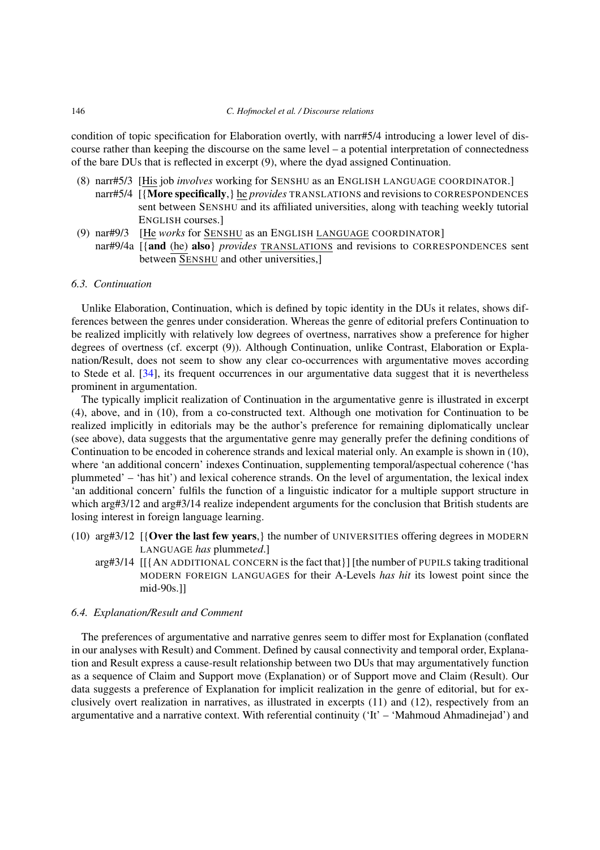#### 146 *C. Hofmockel et al. / Discourse relations*

condition of topic specification for Elaboration overtly, with narr#5/4 introducing a lower level of discourse rather than keeping the discourse on the same level – a potential interpretation of connectedness of the bare DUs that is reflected in excerpt (9), where the dyad assigned Continuation.

- (8) narr#5/3 [His job *involves* working for SENSHU as an ENGLISH LANGUAGE COORDINATOR.] narr#5/4 [{**More specifically**,} he *provides* TRANSLATIONS and revisions to CORRESPONDENCES sent between SENSHU and its affiliated universities, along with teaching weekly tutorial ENGLISH courses.]
- (9) nar#9/3 [He *works* for SENSHU as an ENGLISH LANGUAGE COORDINATOR] nar#9/4a [{**and** (he) **also**} *provides* TRANSLATIONS and revisions to CORRESPONDENCES sent between SENSHU and other universities,

# *6.3. Continuation*

Unlike Elaboration, Continuation, which is defined by topic identity in the DUs it relates, shows differences between the genres under consideration. Whereas the genre of editorial prefers Continuation to be realized implicitly with relatively low degrees of overtness, narratives show a preference for higher degrees of overtness (cf. excerpt (9)). Although Continuation, unlike Contrast, Elaboration or Explanation/Result, does not seem to show any clear co-occurrences with argumentative moves according to Stede et al. [\[34](#page-20-8)], its frequent occurrences in our argumentative data suggest that it is nevertheless prominent in argumentation.

The typically implicit realization of Continuation in the argumentative genre is illustrated in excerpt (4), above, and in (10), from a co-constructed text. Although one motivation for Continuation to be realized implicitly in editorials may be the author's preference for remaining diplomatically unclear (see above), data suggests that the argumentative genre may generally prefer the defining conditions of Continuation to be encoded in coherence strands and lexical material only. An example is shown in (10), where 'an additional concern' indexes Continuation, supplementing temporal/aspectual coherence ('has plummeted' – 'has hit') and lexical coherence strands. On the level of argumentation, the lexical index 'an additional concern' fulfils the function of a linguistic indicator for a multiple support structure in which arg#3/12 and arg#3/14 realize independent arguments for the conclusion that British students are losing interest in foreign language learning.

- (10) arg#3/12 [{**Over the last few years**,} the number of UNIVERSITIES offering degrees in MODERN LANGUAGE *has* plummet*ed*.]
	- arg#3/14 [[{AN ADDITIONAL CONCERN is the fact that}] [the number of PUPILS taking traditional MODERN FOREIGN LANGUAGES for their A-Levels *has hit* its lowest point since the mid-90s.]]

# *6.4. Explanation/Result and Comment*

The preferences of argumentative and narrative genres seem to differ most for Explanation (conflated in our analyses with Result) and Comment. Defined by causal connectivity and temporal order, Explanation and Result express a cause-result relationship between two DUs that may argumentatively function as a sequence of Claim and Support move (Explanation) or of Support move and Claim (Result). Our data suggests a preference of Explanation for implicit realization in the genre of editorial, but for exclusively overt realization in narratives, as illustrated in excerpts (11) and (12), respectively from an argumentative and a narrative context. With referential continuity ('It' – 'Mahmoud Ahmadinejad') and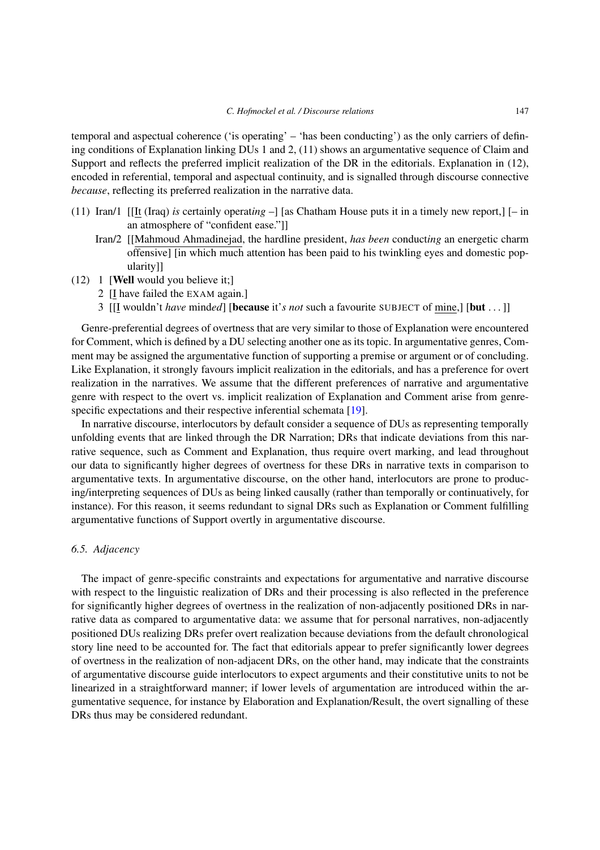temporal and aspectual coherence ('is operating' – 'has been conducting') as the only carriers of defining conditions of Explanation linking DUs 1 and 2, (11) shows an argumentative sequence of Claim and Support and reflects the preferred implicit realization of the DR in the editorials. Explanation in (12), encoded in referential, temporal and aspectual continuity, and is signalled through discourse connective *because*, reflecting its preferred realization in the narrative data.

- (11) Iran/1 [[It (Iraq) *is* certainly operat*ing* –] [as Chatham House puts it in a timely new report,] [– in an atmosphere of "confident ease."]]
	- Iran/2 [[Mahmoud Ahmadinejad, the hardline president, *has been* conduct*ing* an energetic charm offensive] [in which much attention has been paid to his twinkling eyes and domestic popularity]]
- (12) 1 [**Well** would you believe it;]
	- 2 [I have failed the EXAM again.]
	- 3 [[I wouldn't *have* mind*ed*] [**because** it'*s not* such a favourite SUBJECT of mine,] [**but** *...* ]]

Genre-preferential degrees of overtness that are very similar to those of Explanation were encountered for Comment, which is defined by a DU selecting another one as its topic. In argumentative genres, Comment may be assigned the argumentative function of supporting a premise or argument or of concluding. Like Explanation, it strongly favours implicit realization in the editorials, and has a preference for overt realization in the narratives. We assume that the different preferences of narrative and argumentative genre with respect to the overt vs. implicit realization of Explanation and Comment arise from genre-specific expectations and their respective inferential schemata [\[19](#page-20-10)].

In narrative discourse, interlocutors by default consider a sequence of DUs as representing temporally unfolding events that are linked through the DR Narration; DRs that indicate deviations from this narrative sequence, such as Comment and Explanation, thus require overt marking, and lead throughout our data to significantly higher degrees of overtness for these DRs in narrative texts in comparison to argumentative texts. In argumentative discourse, on the other hand, interlocutors are prone to producing/interpreting sequences of DUs as being linked causally (rather than temporally or continuatively, for instance). For this reason, it seems redundant to signal DRs such as Explanation or Comment fulfilling argumentative functions of Support overtly in argumentative discourse.

# *6.5. Adjacency*

The impact of genre-specific constraints and expectations for argumentative and narrative discourse with respect to the linguistic realization of DRs and their processing is also reflected in the preference for significantly higher degrees of overtness in the realization of non-adjacently positioned DRs in narrative data as compared to argumentative data: we assume that for personal narratives, non-adjacently positioned DUs realizing DRs prefer overt realization because deviations from the default chronological story line need to be accounted for. The fact that editorials appear to prefer significantly lower degrees of overtness in the realization of non-adjacent DRs, on the other hand, may indicate that the constraints of argumentative discourse guide interlocutors to expect arguments and their constitutive units to not be linearized in a straightforward manner; if lower levels of argumentation are introduced within the argumentative sequence, for instance by Elaboration and Explanation/Result, the overt signalling of these DRs thus may be considered redundant.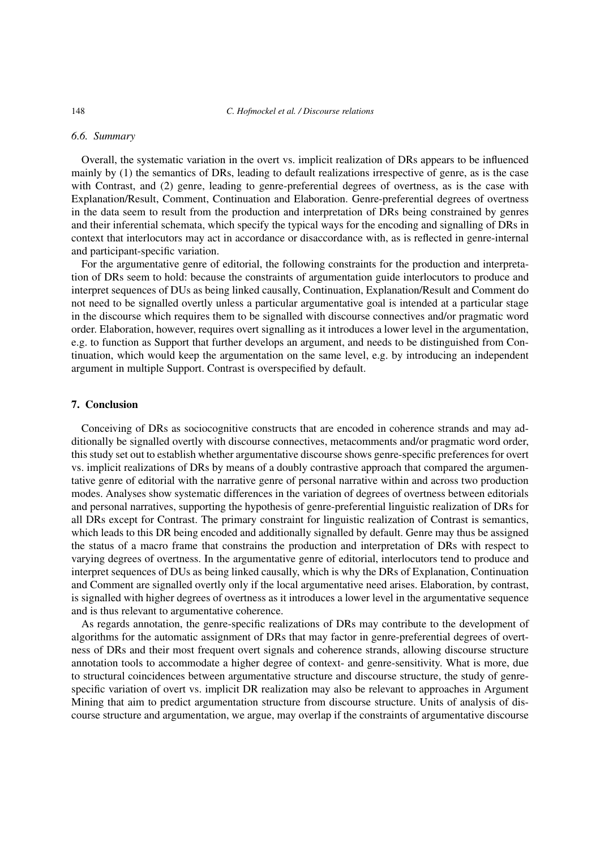#### *6.6. Summary*

Overall, the systematic variation in the overt vs. implicit realization of DRs appears to be influenced mainly by (1) the semantics of DRs, leading to default realizations irrespective of genre, as is the case with Contrast, and (2) genre, leading to genre-preferential degrees of overtness, as is the case with Explanation/Result, Comment, Continuation and Elaboration. Genre-preferential degrees of overtness in the data seem to result from the production and interpretation of DRs being constrained by genres and their inferential schemata, which specify the typical ways for the encoding and signalling of DRs in context that interlocutors may act in accordance or disaccordance with, as is reflected in genre-internal and participant-specific variation.

For the argumentative genre of editorial, the following constraints for the production and interpretation of DRs seem to hold: because the constraints of argumentation guide interlocutors to produce and interpret sequences of DUs as being linked causally, Continuation, Explanation/Result and Comment do not need to be signalled overtly unless a particular argumentative goal is intended at a particular stage in the discourse which requires them to be signalled with discourse connectives and/or pragmatic word order. Elaboration, however, requires overt signalling as it introduces a lower level in the argumentation, e.g. to function as Support that further develops an argument, and needs to be distinguished from Continuation, which would keep the argumentation on the same level, e.g. by introducing an independent argument in multiple Support. Contrast is overspecified by default.

## <span id="page-17-0"></span>**7. Conclusion**

Conceiving of DRs as sociocognitive constructs that are encoded in coherence strands and may additionally be signalled overtly with discourse connectives, metacomments and/or pragmatic word order, this study set out to establish whether argumentative discourse shows genre-specific preferences for overt vs. implicit realizations of DRs by means of a doubly contrastive approach that compared the argumentative genre of editorial with the narrative genre of personal narrative within and across two production modes. Analyses show systematic differences in the variation of degrees of overtness between editorials and personal narratives, supporting the hypothesis of genre-preferential linguistic realization of DRs for all DRs except for Contrast. The primary constraint for linguistic realization of Contrast is semantics, which leads to this DR being encoded and additionally signalled by default. Genre may thus be assigned the status of a macro frame that constrains the production and interpretation of DRs with respect to varying degrees of overtness. In the argumentative genre of editorial, interlocutors tend to produce and interpret sequences of DUs as being linked causally, which is why the DRs of Explanation, Continuation and Comment are signalled overtly only if the local argumentative need arises. Elaboration, by contrast, is signalled with higher degrees of overtness as it introduces a lower level in the argumentative sequence and is thus relevant to argumentative coherence.

As regards annotation, the genre-specific realizations of DRs may contribute to the development of algorithms for the automatic assignment of DRs that may factor in genre-preferential degrees of overtness of DRs and their most frequent overt signals and coherence strands, allowing discourse structure annotation tools to accommodate a higher degree of context- and genre-sensitivity. What is more, due to structural coincidences between argumentative structure and discourse structure, the study of genrespecific variation of overt vs. implicit DR realization may also be relevant to approaches in Argument Mining that aim to predict argumentation structure from discourse structure. Units of analysis of discourse structure and argumentation, we argue, may overlap if the constraints of argumentative discourse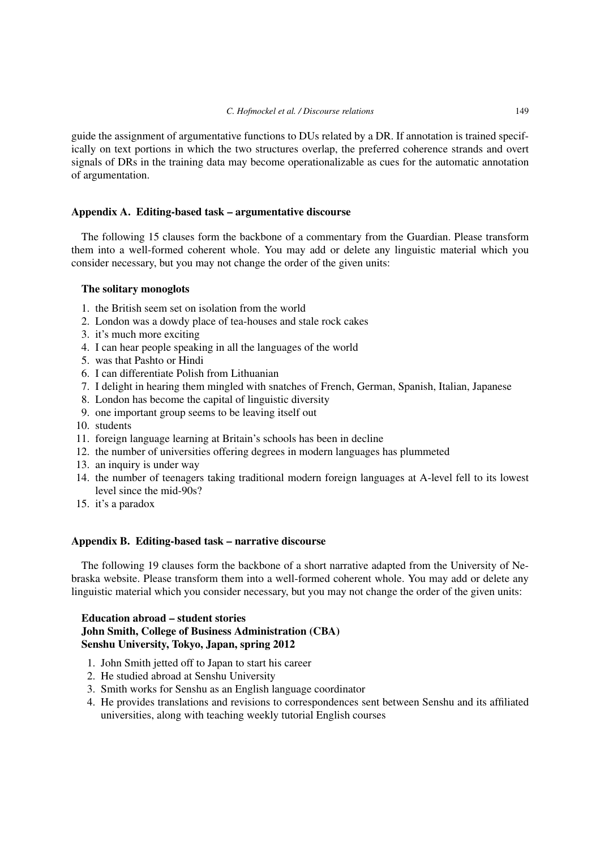guide the assignment of argumentative functions to DUs related by a DR. If annotation is trained specifically on text portions in which the two structures overlap, the preferred coherence strands and overt signals of DRs in the training data may become operationalizable as cues for the automatic annotation of argumentation.

#### **Appendix A. Editing-based task – argumentative discourse**

The following 15 clauses form the backbone of a commentary from the Guardian. Please transform them into a well-formed coherent whole. You may add or delete any linguistic material which you consider necessary, but you may not change the order of the given units:

# **The solitary monoglots**

- 1. the British seem set on isolation from the world
- 2. London was a dowdy place of tea-houses and stale rock cakes
- 3. it's much more exciting
- 4. I can hear people speaking in all the languages of the world
- 5. was that Pashto or Hindi
- 6. I can differentiate Polish from Lithuanian
- 7. I delight in hearing them mingled with snatches of French, German, Spanish, Italian, Japanese
- 8. London has become the capital of linguistic diversity
- 9. one important group seems to be leaving itself out
- 10. students
- 11. foreign language learning at Britain's schools has been in decline
- 12. the number of universities offering degrees in modern languages has plummeted
- 13. an inquiry is under way
- 14. the number of teenagers taking traditional modern foreign languages at A-level fell to its lowest level since the mid-90s?
- 15. it's a paradox

# **Appendix B. Editing-based task – narrative discourse**

The following 19 clauses form the backbone of a short narrative adapted from the University of Nebraska website. Please transform them into a well-formed coherent whole. You may add or delete any linguistic material which you consider necessary, but you may not change the order of the given units:

# **Education abroad – student stories John Smith, College of Business Administration (CBA) Senshu University, Tokyo, Japan, spring 2012**

- 1. John Smith jetted off to Japan to start his career
- 2. He studied abroad at Senshu University
- 3. Smith works for Senshu as an English language coordinator
- 4. He provides translations and revisions to correspondences sent between Senshu and its affiliated universities, along with teaching weekly tutorial English courses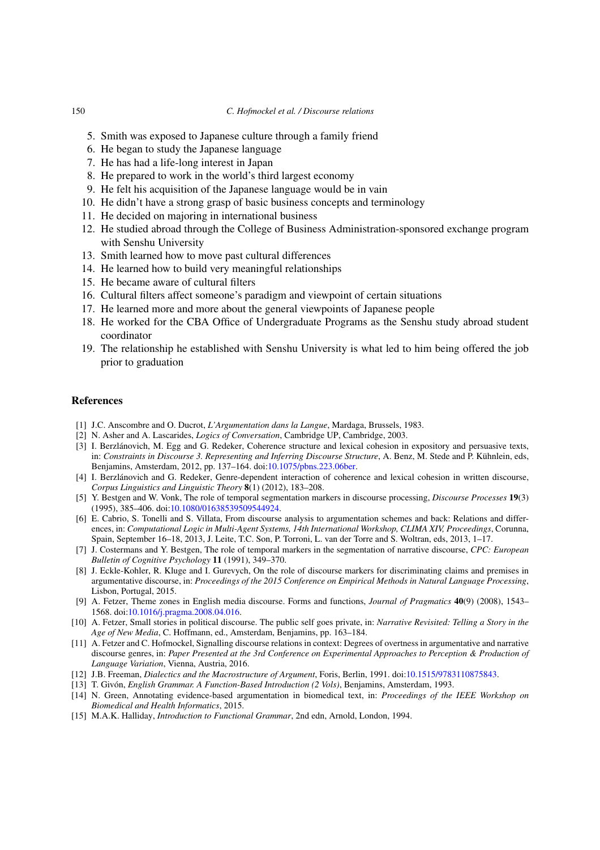- 5. Smith was exposed to Japanese culture through a family friend
- 6. He began to study the Japanese language
- 7. He has had a life-long interest in Japan
- 8. He prepared to work in the world's third largest economy
- 9. He felt his acquisition of the Japanese language would be in vain
- 10. He didn't have a strong grasp of basic business concepts and terminology
- 11. He decided on majoring in international business
- 12. He studied abroad through the College of Business Administration-sponsored exchange program with Senshu University
- 13. Smith learned how to move past cultural differences
- 14. He learned how to build very meaningful relationships
- 15. He became aware of cultural filters
- 16. Cultural filters affect someone's paradigm and viewpoint of certain situations
- 17. He learned more and more about the general viewpoints of Japanese people
- 18. He worked for the CBA Office of Undergraduate Programs as the Senshu study abroad student coordinator
- 19. The relationship he established with Senshu University is what led to him being offered the job prior to graduation

#### **References**

- <span id="page-19-8"></span>[1] J.C. Anscombre and O. Ducrot, *L'Argumentation dans la Langue*, Mardaga, Brussels, 1983.
- <span id="page-19-1"></span>[2] N. Asher and A. Lascarides, *Logics of Conversation*, Cambridge UP, Cambridge, 2003.
- <span id="page-19-13"></span>[3] I. Berzlánovich, M. Egg and G. Redeker, Coherence structure and lexical cohesion in expository and persuasive texts, in: *Constraints in Discourse 3. Representing and Inferring Discourse Structure*, A. Benz, M. Stede and P. Kühnlein, eds, Benjamins, Amsterdam, 2012, pp. 137–164. doi[:10.1075/pbns.223.06ber.](http://dx.doi.org/10.1075/pbns.223.06ber)
- <span id="page-19-14"></span>[4] I. Berzlánovich and G. Redeker, Genre-dependent interaction of coherence and lexical cohesion in written discourse, *Corpus Linguistics and Linguistic Theory* **8**(1) (2012), 183–208.
- <span id="page-19-12"></span>[5] Y. Bestgen and W. Vonk, The role of temporal segmentation markers in discourse processing, *Discourse Processes* **19**(3) (1995), 385–406. doi[:10.1080/01638539509544924.](http://dx.doi.org/10.1080/01638539509544924)
- <span id="page-19-2"></span>[6] E. Cabrio, S. Tonelli and S. Villata, From discourse analysis to argumentation schemes and back: Relations and differences, in: *Computational Logic in Multi-Agent Systems, 14th International Workshop, CLIMA XIV, Proceedings*, Corunna, Spain, September 16–18, 2013, J. Leite, T.C. Son, P. Torroni, L. van der Torre and S. Woltran, eds, 2013, 1–17.
- <span id="page-19-11"></span>[7] J. Costermans and Y. Bestgen, The role of temporal markers in the segmentation of narrative discourse, *CPC: European Bulletin of Cognitive Psychology* **11** (1991), 349–370.
- <span id="page-19-7"></span>[8] J. Eckle-Kohler, R. Kluge and I. Gurevych, On the role of discourse markers for discriminating claims and premises in argumentative discourse, in: *Proceedings of the 2015 Conference on Empirical Methods in Natural Language Processing*, Lisbon, Portugal, 2015.
- <span id="page-19-5"></span>[9] A. Fetzer, Theme zones in English media discourse. Forms and functions, *Journal of Pragmatics* **40**(9) (2008), 1543– 1568. doi[:10.1016/j.pragma.2008.04.016.](http://dx.doi.org/10.1016/j.pragma.2008.04.016)
- <span id="page-19-10"></span>[10] A. Fetzer, Small stories in political discourse. The public self goes private, in: *Narrative Revisited: Telling a Story in the Age of New Media*, C. Hoffmann, ed., Amsterdam, Benjamins, pp. 163–184.
- <span id="page-19-6"></span>[11] A. Fetzer and C. Hofmockel, Signalling discourse relations in context: Degrees of overtness in argumentative and narrative discourse genres, in: *Paper Presented at the 3rd Conference on Experimental Approaches to Perception & Production of Language Variation*, Vienna, Austria, 2016.
- <span id="page-19-0"></span>[12] J.B. Freeman, *Dialectics and the Macrostructure of Argument*, Foris, Berlin, 1991. doi[:10.1515/9783110875843.](http://dx.doi.org/10.1515/9783110875843)
- <span id="page-19-3"></span>[13] T. Givón, *English Grammar. A Function-Based Introduction (2 Vols)*, Benjamins, Amsterdam, 1993.
- <span id="page-19-9"></span>[14] N. Green, Annotating evidence-based argumentation in biomedical text, in: *Proceedings of the IEEE Workshop on Biomedical and Health Informatics*, 2015.
- <span id="page-19-4"></span>[15] M.A.K. Halliday, *Introduction to Functional Grammar*, 2nd edn, Arnold, London, 1994.